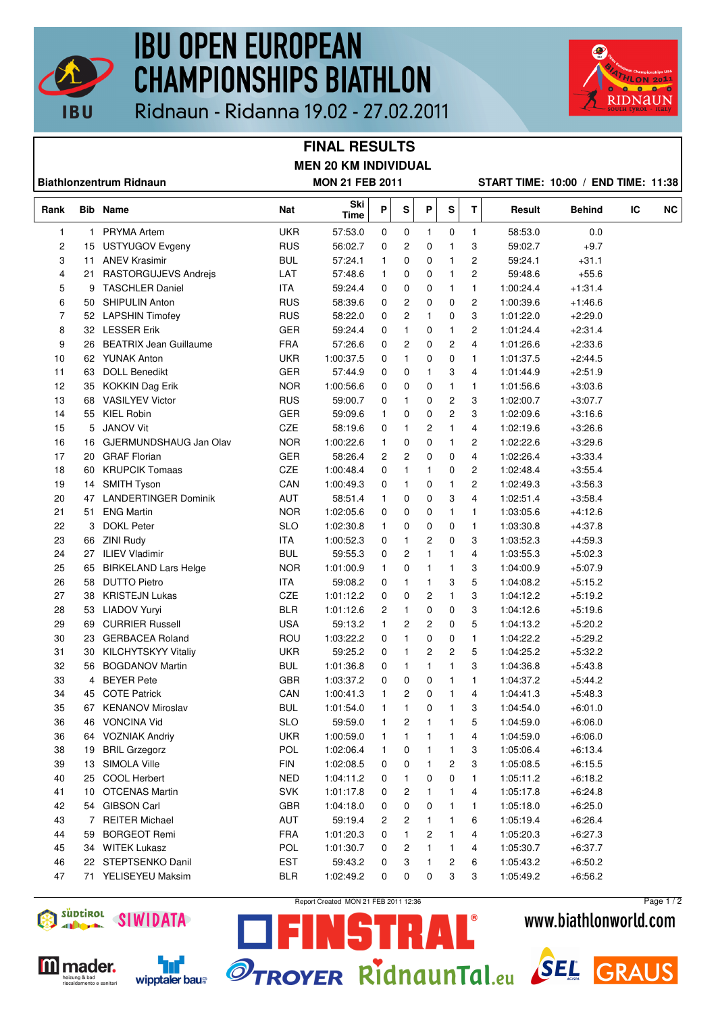

# **IBU OPEN EUROPEAN CHAMPIONSHIPS BIATHLON**



Ridnaun - Ridanna 19.02 - 27.02.2011

### **FINAL RESULTS MEN 20 KM INDIVIDUAL**

| <b>Biathlonzentrum Ridnaun</b> |                 |                             | <b>MON 21 FEB 2011</b> |             |                |              |              |                         |                |           | START TIME: 10:00 / END TIME: 11:38 |    |           |
|--------------------------------|-----------------|-----------------------------|------------------------|-------------|----------------|--------------|--------------|-------------------------|----------------|-----------|-------------------------------------|----|-----------|
| Rank                           |                 | <b>Bib</b> Name             | Nat                    | Ski<br>Time | P              | S            | P            | S                       | T              | Result    | <b>Behind</b>                       | IC | <b>NC</b> |
| $\mathbf{1}$                   | 1               | <b>PRYMA Artem</b>          | <b>UKR</b>             | 57:53.0     | 0              | 0            | $\mathbf{1}$ | 0                       | $\mathbf{1}$   | 58:53.0   | 0.0                                 |    |           |
| $\overline{c}$                 | 15              | <b>USTYUGOV Evgeny</b>      | <b>RUS</b>             | 56:02.7     | 0              | 2            | 0            | 1                       | 3              | 59:02.7   | $+9.7$                              |    |           |
| 3                              | 11              | <b>ANEV Krasimir</b>        | <b>BUL</b>             | 57:24.1     | $\mathbf{1}$   | 0            | 0            | 1                       | 2              | 59:24.1   | $+31.1$                             |    |           |
| 4                              | 21              | <b>RASTORGUJEVS Andrejs</b> | LAT                    | 57:48.6     | $\mathbf{1}$   | 0            | 0            | 1                       | $\overline{c}$ | 59:48.6   | $+55.6$                             |    |           |
| 5                              | 9               | <b>TASCHLER Daniel</b>      | <b>ITA</b>             | 59:24.4     | 0              | 0            | 0            | $\mathbf{1}$            | $\mathbf{1}$   | 1:00:24.4 | $+1:31.4$                           |    |           |
| 6                              | 50              | <b>SHIPULIN Anton</b>       | <b>RUS</b>             | 58:39.6     | 0              | 2            | 0            | 0                       | 2              | 1:00:39.6 | $+1:46.6$                           |    |           |
| 7                              |                 | 52 LAPSHIN Timofey          | <b>RUS</b>             | 58:22.0     | 0              | 2            | 1            | 0                       | 3              | 1:01:22.0 | $+2:29.0$                           |    |           |
| 8                              |                 | 32 LESSER Erik              | GER                    | 59:24.4     | 0              | 1            | 0            | 1                       | 2              | 1:01:24.4 | $+2:31.4$                           |    |           |
| 9                              |                 | 26 BEATRIX Jean Guillaume   | <b>FRA</b>             | 57:26.6     | 0              | 2            | 0            | 2                       | $\overline{4}$ | 1:01:26.6 | $+2:33.6$                           |    |           |
| 10                             |                 | 62 YUNAK Anton              | <b>UKR</b>             | 1:00:37.5   | 0              | 1            | 0            | 0                       | $\mathbf{1}$   | 1:01:37.5 | $+2:44.5$                           |    |           |
| 11                             | 63              | <b>DOLL Benedikt</b>        | <b>GER</b>             | 57:44.9     | 0              | 0            | 1            | 3                       | $\overline{4}$ | 1:01:44.9 | $+2:51.9$                           |    |           |
| 12                             |                 | 35 KOKKIN Dag Erik          | <b>NOR</b>             | 1:00:56.6   | 0              | 0            | 0            | 1                       | 1              | 1:01:56.6 | $+3:03.6$                           |    |           |
| 13                             |                 | 68 VASILYEV Victor          | <b>RUS</b>             | 59:00.7     | 0              | 1            | 0            | $\overline{\mathbf{c}}$ | 3              | 1:02:00.7 | $+3:07.7$                           |    |           |
| 14                             |                 | 55 KIEL Robin               | <b>GER</b>             | 59:09.6     | $\mathbf{1}$   | 0            | 0            | $\overline{\mathbf{c}}$ | 3              | 1:02:09.6 | $+3.16.6$                           |    |           |
| 15                             |                 | 5 JANOV Vit                 | CZE                    | 58:19.6     | 0              | 1            | 2            | 1                       | 4              | 1:02:19.6 | $+3:26.6$                           |    |           |
| 16                             |                 | 16 GJERMUNDSHAUG Jan Olav   | <b>NOR</b>             | 1:00:22.6   | $\mathbf{1}$   | 0            | 0            | 1                       | 2              | 1:02:22.6 | $+3:29.6$                           |    |           |
| 17                             | 20              | <b>GRAF Florian</b>         | GER                    | 58:26.4     | $\overline{c}$ | 2            | 0            | 0                       | $\overline{4}$ | 1:02:26.4 | $+3:33.4$                           |    |           |
| 18                             | 60              | <b>KRUPCIK Tomaas</b>       | CZE                    | 1:00:48.4   | 0              | 1            | 1            | 0                       | 2              | 1:02:48.4 | $+3.55.4$                           |    |           |
| 19                             |                 | 14 SMITH Tyson              | CAN                    | 1:00:49.3   | 0              | $\mathbf{1}$ | 0            | 1                       | $\overline{c}$ | 1:02:49.3 | $+3.56.3$                           |    |           |
| 20                             |                 | 47 LANDERTINGER Dominik     | <b>AUT</b>             | 58:51.4     | $\mathbf{1}$   | 0            | 0            | 3                       | $\overline{4}$ | 1:02:51.4 | $+3.58.4$                           |    |           |
| 21                             | 51              | <b>ENG Martin</b>           | <b>NOR</b>             | 1:02:05.6   | 0              | 0            | 0            | 1                       | $\mathbf{1}$   | 1:03:05.6 | $+4.12.6$                           |    |           |
| 22                             | 3               | <b>DOKL Peter</b>           | <b>SLO</b>             | 1:02:30.8   | 1              | 0            | 0            | 0                       | $\mathbf{1}$   | 1:03:30.8 | $+4.37.8$                           |    |           |
| 23                             |                 | 66 ZINI Rudy                | <b>ITA</b>             | 1:00:52.3   | 0              | 1            | 2            | 0                       | 3              | 1:03:52.3 | $+4.59.3$                           |    |           |
| 24                             |                 | 27 ILIEV Vladimir           | <b>BUL</b>             | 59:55.3     | 0              | 2            | 1            | 1                       | 4              | 1:03:55.3 | $+5:02.3$                           |    |           |
| 25                             | 65              | <b>BIRKELAND Lars Helge</b> | <b>NOR</b>             | 1:01:00.9   | 1              | 0            | 1            | 1                       | 3              | 1:04:00.9 | $+5:07.9$                           |    |           |
| 26                             | 58              | <b>DUTTO Pietro</b>         | ITA                    | 59:08.2     | 0              | 1            | 1            | 3                       | 5              | 1:04:08.2 | $+5.15.2$                           |    |           |
| 27                             | 38              | <b>KRISTEJN Lukas</b>       | CZE                    | 1:01:12.2   | 0              | 0            | 2            | 1                       | 3              | 1:04:12.2 | $+5:19.2$                           |    |           |
| 28                             |                 | 53 LIADOV Yuryi             | <b>BLR</b>             | 1:01:12.6   | 2              | 1            | 0            | 0                       | 3              | 1:04:12.6 | $+5:19.6$                           |    |           |
| 29                             | 69              | <b>CURRIER Russell</b>      | <b>USA</b>             | 59:13.2     | $\mathbf{1}$   | 2            | 2            | 0                       | 5              | 1:04:13.2 | $+5:20.2$                           |    |           |
| 30                             |                 | 23 GERBACEA Roland          | ROU                    | 1:03:22.2   | 0              | 1            | 0            | 0                       | $\mathbf{1}$   | 1:04:22.2 | $+5:29.2$                           |    |           |
| 31                             |                 | 30 KILCHYTSKYY Vitaliy      | <b>UKR</b>             | 59:25.2     | 0              | 1            | 2            | 2                       | 5              | 1:04:25.2 | $+5:32.2$                           |    |           |
| 32                             |                 | 56 BOGDANOV Martin          | <b>BUL</b>             | 1:01:36.8   | 0              | 1            | 1            | 1                       | 3              | 1:04:36.8 | $+5:43.8$                           |    |           |
| 33                             | 4               | <b>BEYER Pete</b>           | GBR                    | 1:03:37.2   | 0              | 0            | 0            | 1                       | 1              | 1:04:37.2 | $+5:44.2$                           |    |           |
| 34                             | 45              | <b>COTE Patrick</b>         | CAN                    | 1:00:41.3   | $\mathbf{1}$   | 2            | 0            | 1                       | 4              | 1:04:41.3 | $+5:48.3$                           |    |           |
| 35                             |                 | 67 KENANOV Miroslav         | <b>BUL</b>             | 1:01:54.0   | 1              | 1            | 0            | 1                       | 3              | 1:04:54.0 | $+6:01.0$                           |    |           |
| 36                             | 46              | <b>VONCINA Vid</b>          | <b>SLO</b>             | 59:59.0     | $\mathbf{1}$   | 2            | 1            | 1                       | 5              | 1:04:59.0 | $+6:06.0$                           |    |           |
| 36                             |                 | 64 VOZNIAK Andriy           | <b>UKR</b>             | 1:00:59.0   | 1              | 1            | 1            | 1                       | 4              | 1:04:59.0 | $+6:06.0$                           |    |           |
| 38                             | 19              | <b>BRIL Grzegorz</b>        | POL                    | 1:02:06.4   | 1              | 0            | 1            | 1                       | 3              | 1:05:06.4 | $+6:13.4$                           |    |           |
| 39                             | 13              | SIMOLA Ville                | <b>FIN</b>             | 1:02:08.5   | 0              | 0            | 1            | 2                       | 3              | 1:05:08.5 | $+6:15.5$                           |    |           |
| 40                             | 25              | <b>COOL Herbert</b>         | <b>NED</b>             | 1:04:11.2   | 0              | 1            | 0            | 0                       | 1              | 1:05:11.2 | $+6.18.2$                           |    |           |
| 41                             | 10 <sup>1</sup> | <b>OTCENAS Martin</b>       | <b>SVK</b>             | 1:01:17.8   | 0              | 2            | 1            | 1                       | 4              | 1:05:17.8 | $+6:24.8$                           |    |           |
| 42                             | 54              | <b>GIBSON Carl</b>          | <b>GBR</b>             | 1:04:18.0   | 0              | 0            | 0            | 1                       | 1              | 1:05:18.0 | $+6:25.0$                           |    |           |
| 43                             |                 | 7 REITER Michael            | AUT                    | 59:19.4     | 2              | 2            | 1            | 1                       | 6              | 1:05:19.4 | $+6:26.4$                           |    |           |
| 44                             | 59              | <b>BORGEOT Remi</b>         | <b>FRA</b>             | 1:01:20.3   | 0              | 1            | 2            | 1                       | 4              | 1:05:20.3 | $+6:27.3$                           |    |           |
| 45                             | 34              | <b>WITEK Lukasz</b>         | POL                    | 1:01:30.7   | 0              | 2            | 1            | 1                       | 4              | 1:05:30.7 | $+6:37.7$                           |    |           |
| 46                             |                 | 22 STEPTSENKO Danil         | <b>EST</b>             | 59:43.2     | 0              | 3            | 1            | 2                       | 6              | 1:05:43.2 | $+6:50.2$                           |    |           |
| 47                             |                 | 71 YELISEYEU Maksim         | <b>BLR</b>             | 1:02:49.2   | 0              | 0            | 0            | 3                       | 3              | 1:05:49.2 | $+6:56.2$                           |    |           |



**M** mader. heizung & bad<br>riscaldamento e sanitari



Report Created MON 21 FEB 2011 12:36

Ţ.

Page 1 / 2

### www.biathlonworld.com